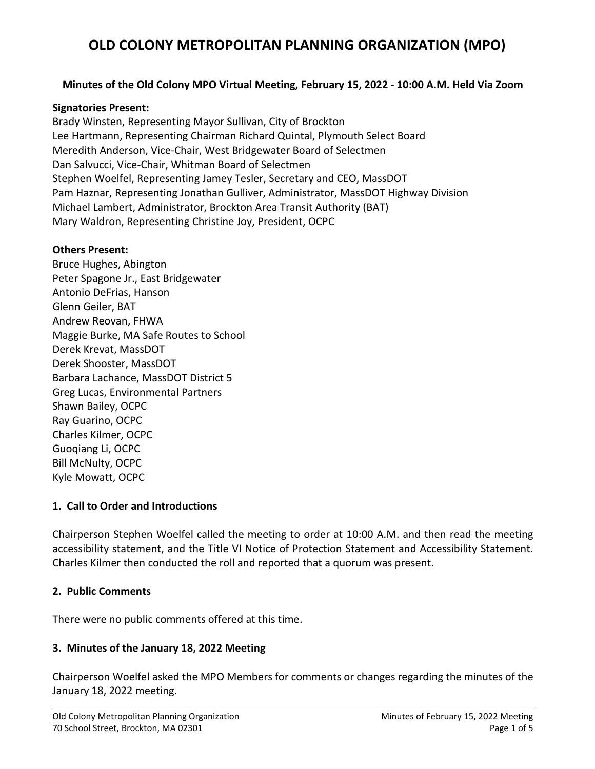### **Minutes of the Old Colony MPO Virtual Meeting, February 15, 2022 - 10:00 A.M. Held Via Zoom**

#### **Signatories Present:**

Brady Winsten, Representing Mayor Sullivan, City of Brockton Lee Hartmann, Representing Chairman Richard Quintal, Plymouth Select Board Meredith Anderson, Vice-Chair, West Bridgewater Board of Selectmen Dan Salvucci, Vice-Chair, Whitman Board of Selectmen Stephen Woelfel, Representing Jamey Tesler, Secretary and CEO, MassDOT Pam Haznar, Representing Jonathan Gulliver, Administrator, MassDOT Highway Division Michael Lambert, Administrator, Brockton Area Transit Authority (BAT) Mary Waldron, Representing Christine Joy, President, OCPC

#### **Others Present:**

Bruce Hughes, Abington Peter Spagone Jr., East Bridgewater Antonio DeFrias, Hanson Glenn Geiler, BAT Andrew Reovan, FHWA Maggie Burke, MA Safe Routes to School Derek Krevat, MassDOT Derek Shooster, MassDOT Barbara Lachance, MassDOT District 5 Greg Lucas, Environmental Partners Shawn Bailey, OCPC Ray Guarino, OCPC Charles Kilmer, OCPC Guoqiang Li, OCPC Bill McNulty, OCPC Kyle Mowatt, OCPC

#### **1. Call to Order and Introductions**

Chairperson Stephen Woelfel called the meeting to order at 10:00 A.M. and then read the meeting accessibility statement, and the Title VI Notice of Protection Statement and Accessibility Statement. Charles Kilmer then conducted the roll and reported that a quorum was present.

#### **2. Public Comments**

There were no public comments offered at this time.

#### **3. Minutes of the January 18, 2022 Meeting**

Chairperson Woelfel asked the MPO Members for comments or changes regarding the minutes of the January 18, 2022 meeting.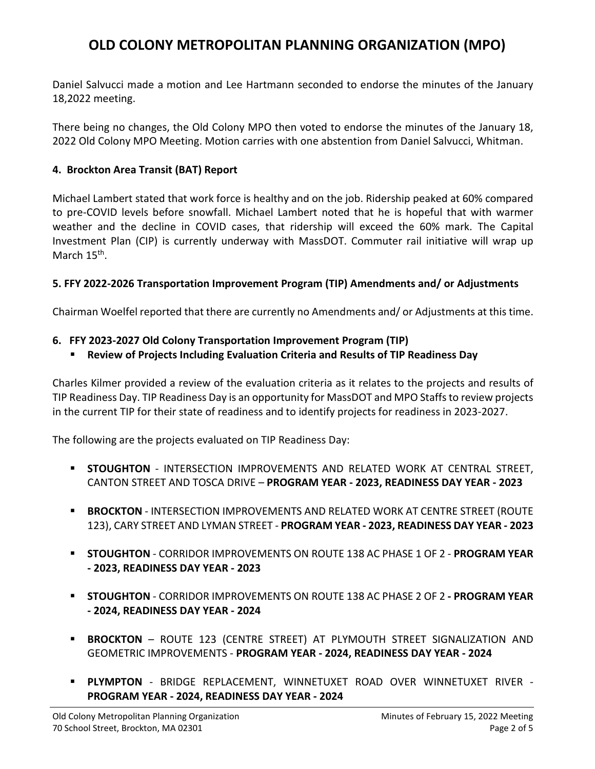Daniel Salvucci made a motion and Lee Hartmann seconded to endorse the minutes of the January 18,2022 meeting.

There being no changes, the Old Colony MPO then voted to endorse the minutes of the January 18, 2022 Old Colony MPO Meeting. Motion carries with one abstention from Daniel Salvucci, Whitman.

### **4. Brockton Area Transit (BAT) Report**

Michael Lambert stated that work force is healthy and on the job. Ridership peaked at 60% compared to pre-COVID levels before snowfall. Michael Lambert noted that he is hopeful that with warmer weather and the decline in COVID cases, that ridership will exceed the 60% mark. The Capital Investment Plan (CIP) is currently underway with MassDOT. Commuter rail initiative will wrap up March 15<sup>th</sup>.

#### **5. FFY 2022-2026 Transportation Improvement Program (TIP) Amendments and/ or Adjustments**

Chairman Woelfel reported that there are currently no Amendments and/ or Adjustments at this time.

#### **6. FFY 2023-2027 Old Colony Transportation Improvement Program (TIP)**

**Review of Projects Including Evaluation Criteria and Results of TIP Readiness Day**

Charles Kilmer provided a review of the evaluation criteria as it relates to the projects and results of TIP Readiness Day. TIP Readiness Day is an opportunity for MassDOT and MPO Staffs to review projects in the current TIP for their state of readiness and to identify projects for readiness in 2023-2027.

The following are the projects evaluated on TIP Readiness Day:

- **STOUGHTON** INTERSECTION IMPROVEMENTS AND RELATED WORK AT CENTRAL STREET, CANTON STREET AND TOSCA DRIVE – **PROGRAM YEAR - 2023, READINESS DAY YEAR - 2023**
- **BROCKTON** INTERSECTION IMPROVEMENTS AND RELATED WORK AT CENTRE STREET (ROUTE 123), CARY STREET AND LYMAN STREET - **PROGRAM YEAR - 2023, READINESS DAY YEAR - 2023**
- **STOUGHTON** CORRIDOR IMPROVEMENTS ON ROUTE 138 AC PHASE 1 OF 2 **PROGRAM YEAR - 2023, READINESS DAY YEAR - 2023**
- **STOUGHTON** CORRIDOR IMPROVEMENTS ON ROUTE 138 AC PHASE 2 OF 2 **- PROGRAM YEAR - 2024, READINESS DAY YEAR - 2024**
- **BROCKTON** ROUTE 123 (CENTRE STREET) AT PLYMOUTH STREET SIGNALIZATION AND GEOMETRIC IMPROVEMENTS - **PROGRAM YEAR - 2024, READINESS DAY YEAR - 2024**
- **PLYMPTON** BRIDGE REPLACEMENT, WINNETUXET ROAD OVER WINNETUXET RIVER **PROGRAM YEAR - 2024, READINESS DAY YEAR - 2024**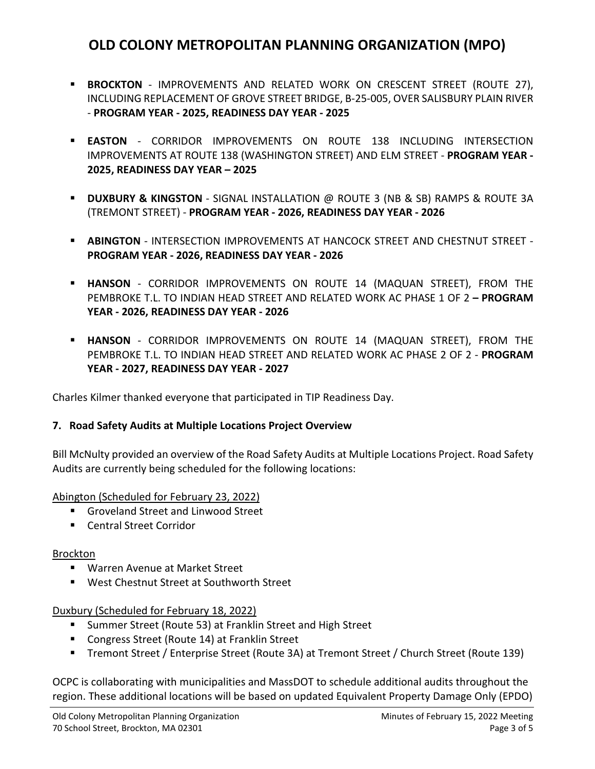- **BROCKTON** IMPROVEMENTS AND RELATED WORK ON CRESCENT STREET (ROUTE 27), INCLUDING REPLACEMENT OF GROVE STREET BRIDGE, B-25-005, OVER SALISBURY PLAIN RIVER - **PROGRAM YEAR - 2025, READINESS DAY YEAR - 2025**
- **EASTON** CORRIDOR IMPROVEMENTS ON ROUTE 138 INCLUDING INTERSECTION IMPROVEMENTS AT ROUTE 138 (WASHINGTON STREET) AND ELM STREET - **PROGRAM YEAR - 2025, READINESS DAY YEAR – 2025**
- **DUXBURY & KINGSTON** SIGNAL INSTALLATION @ ROUTE 3 (NB & SB) RAMPS & ROUTE 3A (TREMONT STREET) - **PROGRAM YEAR - 2026, READINESS DAY YEAR - 2026**
- **ABINGTON** INTERSECTION IMPROVEMENTS AT HANCOCK STREET AND CHESTNUT STREET **PROGRAM YEAR - 2026, READINESS DAY YEAR - 2026**
- **HANSON** CORRIDOR IMPROVEMENTS ON ROUTE 14 (MAQUAN STREET), FROM THE PEMBROKE T.L. TO INDIAN HEAD STREET AND RELATED WORK AC PHASE 1 OF 2 **– PROGRAM YEAR - 2026, READINESS DAY YEAR - 2026**
- **HANSON** CORRIDOR IMPROVEMENTS ON ROUTE 14 (MAQUAN STREET), FROM THE PEMBROKE T.L. TO INDIAN HEAD STREET AND RELATED WORK AC PHASE 2 OF 2 - **PROGRAM YEAR - 2027, READINESS DAY YEAR - 2027**

Charles Kilmer thanked everyone that participated in TIP Readiness Day.

### **7. Road Safety Audits at Multiple Locations Project Overview**

Bill McNulty provided an overview of the Road Safety Audits at Multiple Locations Project. Road Safety Audits are currently being scheduled for the following locations:

Abington (Scheduled for February 23, 2022)

- Groveland Street and Linwood Street
- Central Street Corridor

### Brockton

- Warren Avenue at Market Street
- West Chestnut Street at Southworth Street

Duxbury (Scheduled for February 18, 2022)

- Summer Street (Route 53) at Franklin Street and High Street
- Congress Street (Route 14) at Franklin Street
- Tremont Street / Enterprise Street (Route 3A) at Tremont Street / Church Street (Route 139)

OCPC is collaborating with municipalities and MassDOT to schedule additional audits throughout the region. These additional locations will be based on updated Equivalent Property Damage Only (EPDO)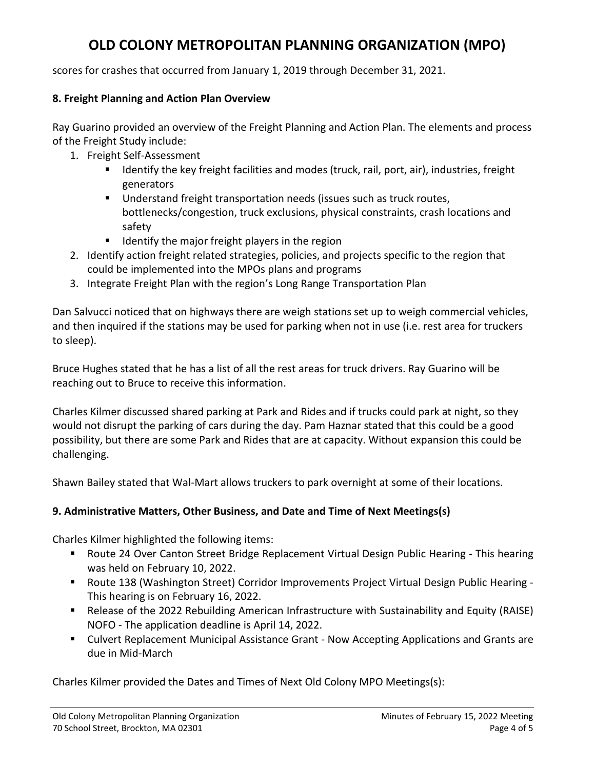scores for crashes that occurred from January 1, 2019 through December 31, 2021.

## **8. Freight Planning and Action Plan Overview**

Ray Guarino provided an overview of the Freight Planning and Action Plan. The elements and process of the Freight Study include:

- 1. Freight Self-Assessment
	- **If I**dentify the key freight facilities and modes (truck, rail, port, air), industries, freight generators
	- Understand freight transportation needs (issues such as truck routes, bottlenecks/congestion, truck exclusions, physical constraints, crash locations and safety
	- $\blacksquare$  Identify the major freight players in the region
- 2. Identify action freight related strategies, policies, and projects specific to the region that could be implemented into the MPOs plans and programs
- 3. Integrate Freight Plan with the region's Long Range Transportation Plan

Dan Salvucci noticed that on highways there are weigh stations set up to weigh commercial vehicles, and then inquired if the stations may be used for parking when not in use (i.e. rest area for truckers to sleep).

Bruce Hughes stated that he has a list of all the rest areas for truck drivers. Ray Guarino will be reaching out to Bruce to receive this information.

Charles Kilmer discussed shared parking at Park and Rides and if trucks could park at night, so they would not disrupt the parking of cars during the day. Pam Haznar stated that this could be a good possibility, but there are some Park and Rides that are at capacity. Without expansion this could be challenging.

Shawn Bailey stated that Wal-Mart allows truckers to park overnight at some of their locations.

## **9. Administrative Matters, Other Business, and Date and Time of Next Meetings(s)**

Charles Kilmer highlighted the following items:

- **Route 24 Over Canton Street Bridge Replacement Virtual Design Public Hearing This hearing** was held on February 10, 2022.
- Route 138 (Washington Street) Corridor Improvements Project Virtual Design Public Hearing This hearing is on February 16, 2022.
- Release of the 2022 Rebuilding American Infrastructure with Sustainability and Equity (RAISE) NOFO - The application deadline is April 14, 2022.
- Culvert Replacement Municipal Assistance Grant Now Accepting Applications and Grants are due in Mid-March

Charles Kilmer provided the Dates and Times of Next Old Colony MPO Meetings(s):